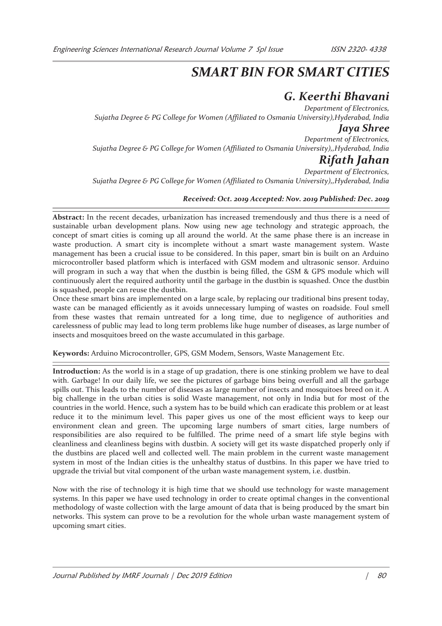# *SMART BIN FOR SMART CITIES*

# *G. Keerthi Bhavani*

*Department of Electronics, Sujatha Degree & PG College for Women (Affiliated to Osmania University),Hyderabad, India* 

## *Jaya Shree*

*Department of Electronics, Sujatha Degree & PG College for Women (Affiliated to Osmania University),,Hyderabad, India* 

## *Rifath Jahan*

*Department of Electronics, Sujatha Degree & PG College for Women (Affiliated to Osmania University),,Hyderabad, India* 

### *Received: Oct. 2019 Accepted: Nov. 2019 Published: Dec. 2019*

**Abstract:** In the recent decades, urbanization has increased tremendously and thus there is a need of sustainable urban development plans. Now using new age technology and strategic approach, the concept of smart cities is coming up all around the world. At the same phase there is an increase in waste production. A smart city is incomplete without a smart waste management system. Waste management has been a crucial issue to be considered. In this paper, smart bin is built on an Arduino microcontroller based platform which is interfaced with GSM modem and ultrasonic sensor. Arduino will program in such a way that when the dustbin is being filled, the GSM & GPS module which will continuously alert the required authority until the garbage in the dustbin is squashed. Once the dustbin is squashed, people can reuse the dustbin.

Once these smart bins are implemented on a large scale, by replacing our traditional bins present today, waste can be managed efficiently as it avoids unnecessary lumping of wastes on roadside. Foul smell from these wastes that remain untreated for a long time, due to negligence of authorities and carelessness of public may lead to long term problems like huge number of diseases, as large number of insects and mosquitoes breed on the waste accumulated in this garbage.

**Keywords:** Arduino Microcontroller, GPS, GSM Modem, Sensors, Waste Management Etc.

**Introduction:** As the world is in a stage of up gradation, there is one stinking problem we have to deal with. Garbage! In our daily life, we see the pictures of garbage bins being overfull and all the garbage spills out. This leads to the number of diseases as large number of insects and mosquitoes breed on it. A big challenge in the urban cities is solid Waste management, not only in India but for most of the countries in the world. Hence, such a system has to be build which can eradicate this problem or at least reduce it to the minimum level. This paper gives us one of the most efficient ways to keep our environment clean and green. The upcoming large numbers of smart cities, large numbers of responsibilities are also required to be fulfilled. The prime need of a smart life style begins with cleanliness and cleanliness begins with dustbin. A society will get its waste dispatched properly only if the dustbins are placed well and collected well. The main problem in the current waste management system in most of the Indian cities is the unhealthy status of dustbins. In this paper we have tried to upgrade the trivial but vital component of the urban waste management system, i.e. dustbin.

Now with the rise of technology it is high time that we should use technology for waste management systems. In this paper we have used technology in order to create optimal changes in the conventional methodology of waste collection with the large amount of data that is being produced by the smart bin networks. This system can prove to be a revolution for the whole urban waste management system of upcoming smart cities.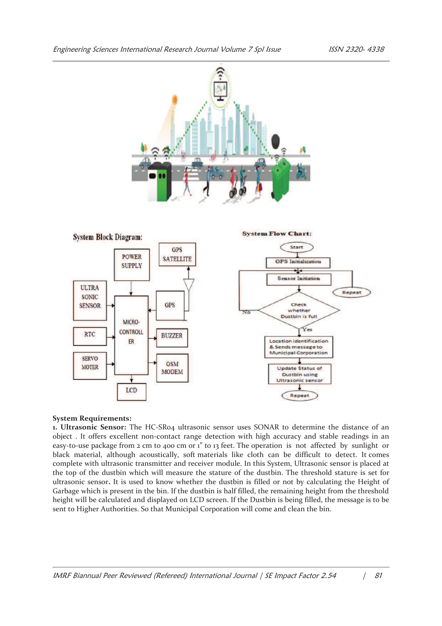



#### **System Requirements:**

**1. Ultrasonic Sensor:** The HC-SR04 ultrasonic sensor uses SONAR to determine the distance of an object . It offers excellent non-contact range detection with high accuracy and stable readings in an easy-to-use package from 2 cm to 400 cm or 1" to 13 feet. The operation is not affected by sunlight or black material, although acoustically, soft materials like cloth can be difficult to detect. It comes complete with ultrasonic transmitter and receiver module. In this System, Ultrasonic sensor is placed at the top of the dustbin which will measure the stature of the dustbin. The threshold stature is set for ultrasonic sensor**.** It is used to know whether the dustbin is filled or not by calculating the Height of Garbage which is present in the bin. If the dustbin is half filled, the remaining height from the threshold height will be calculated and displayed on LCD screen. If the Dustbin is being filled, the message is to be sent to Higher Authorities. So that Municipal Corporation will come and clean the bin.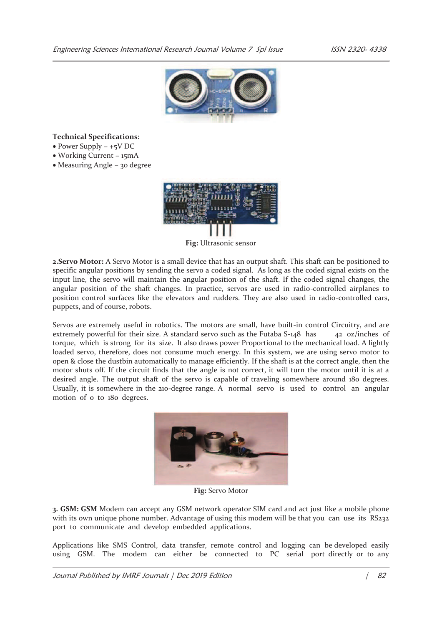

### **Technical Specifications:**

- · Power Supply − +5V DC
- · Working Current − 15mA
- · Measuring Angle − 30 degree



**Fig:** Ultrasonic sensor

**2.Servo Motor:** A Servo Motor is a small device that has an output shaft. This shaft can be positioned to specific angular positions by sending the servo a coded signal. As long as the coded signal exists on the input line, the servo will maintain the angular position of the shaft. If the coded signal changes, the angular position of the shaft changes. In practice, servos are used in radio-controlled airplanes to position control surfaces like the elevators and rudders. They are also used in radio-controlled cars, puppets, and of course, robots.

Servos are extremely useful in robotics. The motors are small, have built-in control Circuitry, and are extremely powerful for their size. A standard servo such as the Futaba S-148 has 42 oz/inches of torque, which is strong for its size. It also draws power Proportional to the mechanical load. A lightly loaded servo, therefore, does not consume much energy. In this system, we are using servo motor to open & close the dustbin automatically to manage efficiently. If the shaft is at the correct angle, then the motor shuts off. If the circuit finds that the angle is not correct, it will turn the motor until it is at a desired angle. The output shaft of the servo is capable of traveling somewhere around 180 degrees. Usually, it is somewhere in the 210-degree range. A normal servo is used to control an angular motion of 0 to 180 degrees.



**Fig:** Servo Motor

**3. GSM: GSM** Modem can accept any GSM network operator SIM card and act just like a mobile phone with its own unique phone number. Advantage of using this modem will be that you can use its RS232 port to communicate and develop embedded applications.

Applications like SMS Control, data transfer, remote control and logging can be developed easily using GSM. The modem can either be connected to PC serial port directly or to any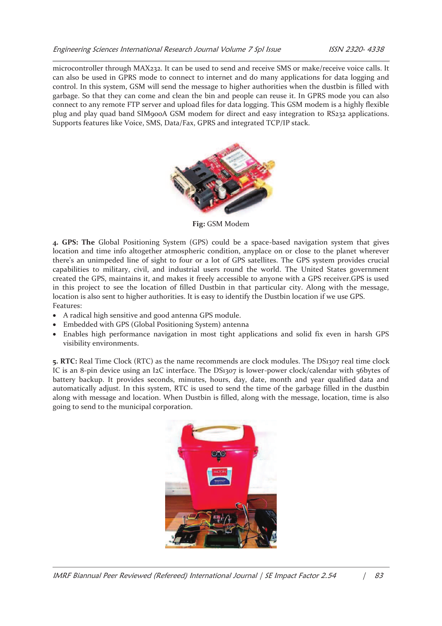microcontroller through MAX232. It can be used to send and receive SMS or make/receive voice calls. It can also be used in GPRS mode to connect to internet and do many applications for data logging and control. In this system, GSM will send the message to higher authorities when the dustbin is filled with garbage. So that they can come and clean the bin and people can reuse it. In GPRS mode you can also connect to any remote FTP server and upload files for data logging. This GSM modem is a highly flexible plug and play quad band SIM900A GSM modem for direct and easy integration to RS232 applications. Supports features like Voice, SMS, Data/Fax, GPRS and integrated TCP/IP stack.



**Fig:** GSM Modem

**4. GPS: The** Global Positioning System (GPS) could be a space-based navigation system that gives location and time info altogether atmospheric condition, anyplace on or close to the planet wherever there's an unimpeded line of sight to four or a lot of GPS satellites. The GPS system provides crucial capabilities to military, civil, and industrial users round the world. The United States government created the GPS, maintains it, and makes it freely accessible to anyone with a GPS receiver.GPS is used in this project to see the location of filled Dustbin in that particular city. Along with the message, location is also sent to higher authorities. It is easy to identify the Dustbin location if we use GPS. Features:

- · A radical high sensitive and good antenna GPS module.
- Embedded with GPS (Global Positioning System) antenna
- · Enables high performance navigation in most tight applications and solid fix even in harsh GPS visibility environments.

**5. RTC:** Real Time Clock (RTC) as the name recommends are clock modules. The DS1307 real time clock IC is an 8-pin device using an I2C interface. The DS1307 is lower-power clock/calendar with 56bytes of battery backup. It provides seconds, minutes, hours, day, date, month and year qualified data and automatically adjust. In this system, RTC is used to send the time of the garbage filled in the dustbin along with message and location. When Dustbin is filled, along with the message, location, time is also going to send to the municipal corporation.